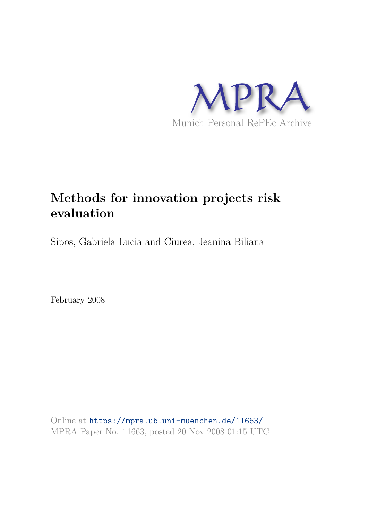

# **Methods for innovation projects risk evaluation**

Sipos, Gabriela Lucia and Ciurea, Jeanina Biliana

February 2008

Online at https://mpra.ub.uni-muenchen.de/11663/ MPRA Paper No. 11663, posted 20 Nov 2008 01:15 UTC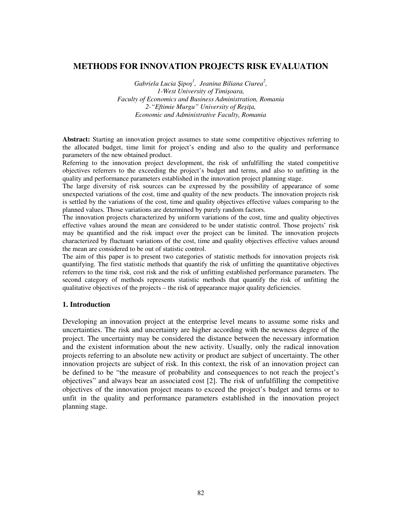# **METHODS FOR INNOVATION PROJECTS RISK EVALUATION**

 $Gabriela$  Lucia Şipoş<sup>1</sup>, Jeanina Biliana Ciurea<sup>2</sup>, *1-West University of Timi*-*oara, Faculty of Economics and Business Administration, Romania*  2-"Eftimie Murgu" University of Reşiţa, *Economic and Administrative Faculty, Romania* 

**Abstract:** Starting an innovation project assumes to state some competitive objectives referring to the allocated budget, time limit for project's ending and also to the quality and performance parameters of the new obtained product.

Referring to the innovation project development, the risk of unfulfilling the stated competitive objectives referrers to the exceeding the project's budget and terms, and also to unfitting in the quality and performance parameters established in the innovation project planning stage.

The large diversity of risk sources can be expressed by the possibility of appearance of some unexpected variations of the cost, time and quality of the new products. The innovation projects risk is settled by the variations of the cost, time and quality objectives effective values comparing to the planned values. Those variations are determined by purely random factors.

The innovation projects characterized by uniform variations of the cost, time and quality objectives effective values around the mean are considered to be under statistic control. Those projects' risk may be quantified and the risk impact over the project can be limited. The innovation projects characterized by fluctuant variations of the cost, time and quality objectives effective values around the mean are considered to be out of statistic control.

The aim of this paper is to present two categories of statistic methods for innovation projects risk quantifying. The first statistic methods that quantify the risk of unfitting the quantitative objectives referrers to the time risk, cost risk and the risk of unfitting established performance parameters. The second category of methods represents statistic methods that quantify the risk of unfitting the qualitative objectives of the projects – the risk of appearance major quality deficiencies.

### **1. Introduction**

Developing an innovation project at the enterprise level means to assume some risks and uncertainties. The risk and uncertainty are higher according with the newness degree of the project. The uncertainty may be considered the distance between the necessary information and the existent information about the new activity. Usually, only the radical innovation projects referring to an absolute new activity or product are subject of uncertainty. The other innovation projects are subject of risk. In this context, the risk of an innovation project can be defined to be "the measure of probability and consequences to not reach the project's objectives" and always bear an associated cost [2]. The risk of unfulfilling the competitive objectives of the innovation project means to exceed the project's budget and terms or to unfit in the quality and performance parameters established in the innovation project planning stage.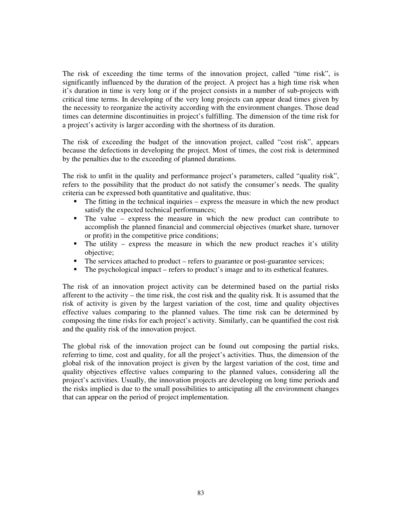The risk of exceeding the time terms of the innovation project, called "time risk", is significantly influenced by the duration of the project. A project has a high time risk when it's duration in time is very long or if the project consists in a number of sub-projects with critical time terms. In developing of the very long projects can appear dead times given by the necessity to reorganize the activity according with the environment changes. Those dead times can determine discontinuities in project's fulfilling. The dimension of the time risk for a project's activity is larger according with the shortness of its duration.

The risk of exceeding the budget of the innovation project, called "cost risk", appears because the defections in developing the project. Most of times, the cost risk is determined by the penalties due to the exceeding of planned durations.

The risk to unfit in the quality and performance project's parameters, called "quality risk", refers to the possibility that the product do not satisfy the consumer's needs. The quality criteria can be expressed both quantitative and qualitative, thus:

- The fitting in the technical inquiries express the measure in which the new product satisfy the expected technical performances;
- The value express the measure in which the new product can contribute to accomplish the planned financial and commercial objectives (market share, turnover or profit) in the competitive price conditions;
- The utility express the measure in which the new product reaches it's utility objective;
- The services attached to product refers to guarantee or post-guarantee services;
- The psychological impact refers to product's image and to its esthetical features.

The risk of an innovation project activity can be determined based on the partial risks afferent to the activity – the time risk, the cost risk and the quality risk. It is assumed that the risk of activity is given by the largest variation of the cost, time and quality objectives effective values comparing to the planned values. The time risk can be determined by composing the time risks for each project's activity. Similarly, can be quantified the cost risk and the quality risk of the innovation project.

The global risk of the innovation project can be found out composing the partial risks, referring to time, cost and quality, for all the project's activities. Thus, the dimension of the global risk of the innovation project is given by the largest variation of the cost, time and quality objectives effective values comparing to the planned values, considering all the project's activities. Usually, the innovation projects are developing on long time periods and the risks implied is due to the small possibilities to anticipating all the environment changes that can appear on the period of project implementation.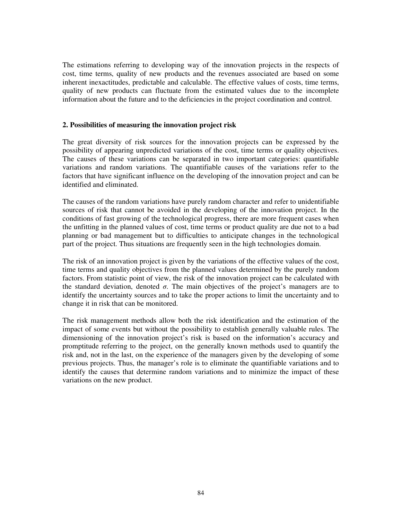The estimations referring to developing way of the innovation projects in the respects of cost, time terms, quality of new products and the revenues associated are based on some inherent inexactitudes, predictable and calculable. The effective values of costs, time terms, quality of new products can fluctuate from the estimated values due to the incomplete information about the future and to the deficiencies in the project coordination and control.

## **2. Possibilities of measuring the innovation project risk**

The great diversity of risk sources for the innovation projects can be expressed by the possibility of appearing unpredicted variations of the cost, time terms or quality objectives. The causes of these variations can be separated in two important categories: quantifiable variations and random variations. The quantifiable causes of the variations refer to the factors that have significant influence on the developing of the innovation project and can be identified and eliminated.

The causes of the random variations have purely random character and refer to unidentifiable sources of risk that cannot be avoided in the developing of the innovation project. In the conditions of fast growing of the technological progress, there are more frequent cases when the unfitting in the planned values of cost, time terms or product quality are due not to a bad planning or bad management but to difficulties to anticipate changes in the technological part of the project. Thus situations are frequently seen in the high technologies domain.

The risk of an innovation project is given by the variations of the effective values of the cost, time terms and quality objectives from the planned values determined by the purely random factors. From statistic point of view, the risk of the innovation project can be calculated with the standard deviation, denoted  $\sigma$ . The main objectives of the project's managers are to identify the uncertainty sources and to take the proper actions to limit the uncertainty and to change it in risk that can be monitored.

The risk management methods allow both the risk identification and the estimation of the impact of some events but without the possibility to establish generally valuable rules. The dimensioning of the innovation project's risk is based on the information's accuracy and promptitude referring to the project, on the generally known methods used to quantify the risk and, not in the last, on the experience of the managers given by the developing of some previous projects. Thus, the manager's role is to eliminate the quantifiable variations and to identify the causes that determine random variations and to minimize the impact of these variations on the new product.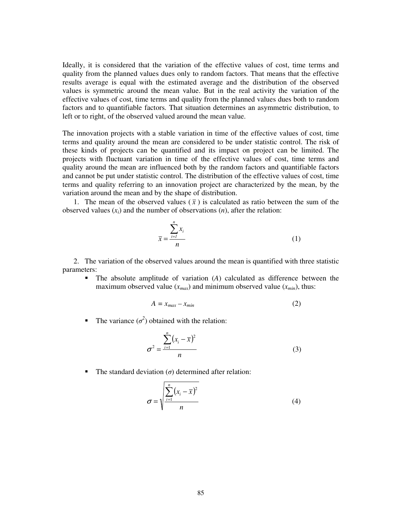Ideally, it is considered that the variation of the effective values of cost, time terms and quality from the planned values dues only to random factors. That means that the effective results average is equal with the estimated average and the distribution of the observed values is symmetric around the mean value. But in the real activity the variation of the effective values of cost, time terms and quality from the planned values dues both to random factors and to quantifiable factors. That situation determines an asymmetric distribution, to left or to right, of the observed valued around the mean value.

The innovation projects with a stable variation in time of the effective values of cost, time terms and quality around the mean are considered to be under statistic control. The risk of these kinds of projects can be quantified and its impact on project can be limited. The projects with fluctuant variation in time of the effective values of cost, time terms and quality around the mean are influenced both by the random factors and quantifiable factors and cannot be put under statistic control. The distribution of the effective values of cost, time terms and quality referring to an innovation project are characterized by the mean, by the variation around the mean and by the shape of distribution.

1. The mean of the observed values  $(\bar{x})$  is calculated as ratio between the sum of the observed values  $(x_i)$  and the number of observations  $(n)$ , after the relation:

$$
\bar{x} = \frac{\sum_{i=1}^{n} x_i}{n}
$$
 (1)

2. The variation of the observed values around the mean is quantified with three statistic parameters:

 The absolute amplitude of variation (*A*) calculated as difference between the maximum observed value  $(x_{max})$  and minimum observed value  $(x_{min})$ , thus:

$$
A = x_{max} - x_{min} \tag{2}
$$

The variance  $(\sigma^2)$  obtained with the relation:

$$
\sigma^2 = \frac{\sum_{i=1}^{n} (x_i - \bar{x})^2}{n}
$$
 (3)

The standard deviation  $(\sigma)$  determined after relation:

$$
\sigma = \sqrt{\frac{\sum_{i=1}^{n} (x_i - \overline{x})^2}{n}}
$$
(4)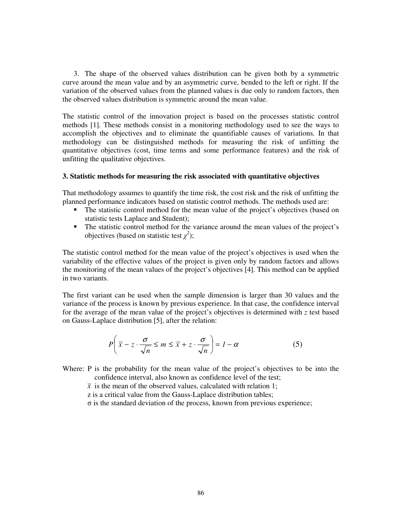3. The shape of the observed values distribution can be given both by a symmetric curve around the mean value and by an asymmetric curve, bended to the left or right. If the variation of the observed values from the planned values is due only to random factors, then the observed values distribution is symmetric around the mean value.

The statistic control of the innovation project is based on the processes statistic control methods [1]. These methods consist in a monitoring methodology used to see the ways to accomplish the objectives and to eliminate the quantifiable causes of variations. In that methodology can be distinguished methods for measuring the risk of unfitting the quantitative objectives (cost, time terms and some performance features) and the risk of unfitting the qualitative objectives.

#### **3. Statistic methods for measuring the risk associated with quantitative objectives**

That methodology assumes to quantify the time risk, the cost risk and the risk of unfitting the planned performance indicators based on statistic control methods. The methods used are:

- The statistic control method for the mean value of the project's objectives (based on statistic tests Laplace and Student);
- The statistic control method for the variance around the mean values of the project's objectives (based on statistic test  $\chi^2$ );

The statistic control method for the mean value of the project's objectives is used when the variability of the effective values of the project is given only by random factors and allows the monitoring of the mean values of the project's objectives [4]. This method can be applied in two variants.

The first variant can be used when the sample dimension is larger than 30 values and the variance of the process is known by previous experience. In that case, the confidence interval for the average of the mean value of the project's objectives is determined with *z* test based on Gauss-Laplace distribution [5], after the relation:

$$
P\left(\overline{x} - z \cdot \frac{\sigma}{\sqrt{n}} \le m \le \overline{x} + z \cdot \frac{\sigma}{\sqrt{n}}\right) = 1 - \alpha
$$
 (5)

Where: P is the probability for the mean value of the project's objectives to be into the confidence interval, also known as confidence level of the test;

 $\bar{x}$  is the mean of the observed values, calculated with relation 1;

z is a critical value from the Gauss-Laplace distribution tables;

 $\sigma$  is the standard deviation of the process, known from previous experience;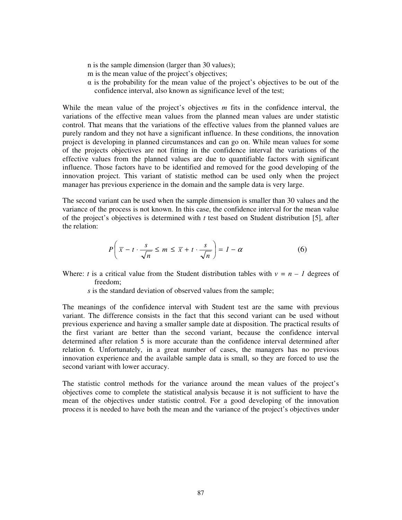n is the sample dimension (larger than 30 values); m is the mean value of the project's objectives; - is the probability for the mean value of the project's objectives to be out of the confidence interval, also known as significance level of the test;

While the mean value of the project's objectives *m* fits in the confidence interval, the variations of the effective mean values from the planned mean values are under statistic control. That means that the variations of the effective values from the planned values are purely random and they not have a significant influence. In these conditions, the innovation project is developing in planned circumstances and can go on. While mean values for some of the projects objectives are not fitting in the confidence interval the variations of the effective values from the planned values are due to quantifiable factors with significant influence. Those factors have to be identified and removed for the good developing of the innovation project. This variant of statistic method can be used only when the project manager has previous experience in the domain and the sample data is very large.

The second variant can be used when the sample dimension is smaller than 30 values and the variance of the process is not known. In this case, the confidence interval for the mean value of the project's objectives is determined with *t* test based on Student distribution [5], after the relation:

$$
P\left(\overline{x} - t \cdot \frac{s}{\sqrt{n}} \le m \le \overline{x} + t \cdot \frac{s}{\sqrt{n}}\right) = 1 - \alpha \tag{6}
$$

Where: *t* is a critical value from the Student distribution tables with  $v = n - 1$  degrees of freedom;

*s* is the standard deviation of observed values from the sample;

The meanings of the confidence interval with Student test are the same with previous variant. The difference consists in the fact that this second variant can be used without previous experience and having a smaller sample date at disposition. The practical results of the first variant are better than the second variant, because the confidence interval determined after relation 5 is more accurate than the confidence interval determined after relation 6. Unfortunately, in a great number of cases, the managers has no previous innovation experience and the available sample data is small, so they are forced to use the second variant with lower accuracy.

The statistic control methods for the variance around the mean values of the project's objectives come to complete the statistical analysis because it is not sufficient to have the mean of the objectives under statistic control. For a good developing of the innovation process it is needed to have both the mean and the variance of the project's objectives under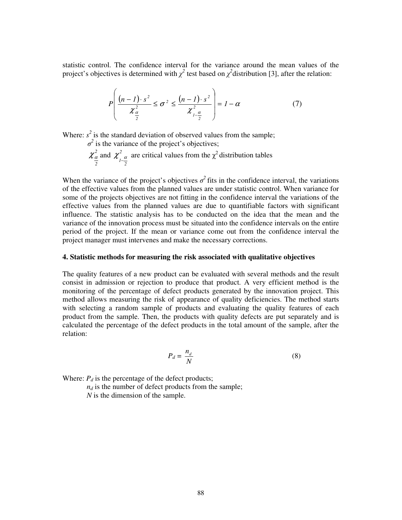statistic control. The confidence interval for the variance around the mean values of the project's objectives is determined with  $\chi^2$  test based on  $\chi^2$  distribution [3], after the relation:

$$
P\left(\frac{(n-1)\cdot s^2}{\chi_{\frac{\alpha}{2}}^2} \leq \sigma^2 \leq \frac{(n-1)\cdot s^2}{\chi_{1-\frac{\alpha}{2}}^2}\right) = 1-\alpha
$$
 (7)

Where:  $s^2$  is the standard deviation of observed values from the sample;

$$
\sigma^2
$$
 is the variance of the project's objectives;  
\n $\chi^2_{\frac{\alpha}{2}}$  and  $\chi^2_{1-\frac{\alpha}{2}}$  are critical values from the  $\chi^2$  distribution tables

When the variance of the project's objectives  $\sigma^2$  fits in the confidence interval, the variations of the effective values from the planned values are under statistic control. When variance for some of the projects objectives are not fitting in the confidence interval the variations of the effective values from the planned values are due to quantifiable factors with significant influence. The statistic analysis has to be conducted on the idea that the mean and the variance of the innovation process must be situated into the confidence intervals on the entire period of the project. If the mean or variance come out from the confidence interval the project manager must intervenes and make the necessary corrections.

#### **4. Statistic methods for measuring the risk associated with qualitative objectives**

The quality features of a new product can be evaluated with several methods and the result consist in admission or rejection to produce that product. A very efficient method is the monitoring of the percentage of defect products generated by the innovation project. This method allows measuring the risk of appearance of quality deficiencies. The method starts with selecting a random sample of products and evaluating the quality features of each product from the sample. Then, the products with quality defects are put separately and is calculated the percentage of the defect products in the total amount of the sample, after the relation:

$$
P_d = \frac{n_d}{N} \tag{8}
$$

Where:  $P_d$  is the percentage of the defect products;

 $n_d$  is the number of defect products from the sample; *N* is the dimension of the sample.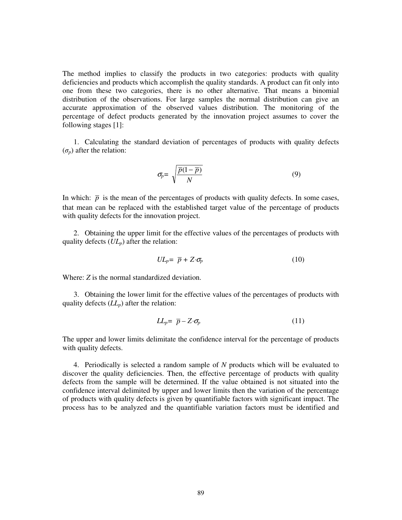The method implies to classify the products in two categories: products with quality deficiencies and products which accomplish the quality standards. A product can fit only into one from these two categories, there is no other alternative. That means a binomial distribution of the observations. For large samples the normal distribution can give an accurate approximation of the observed values distribution. The monitoring of the percentage of defect products generated by the innovation project assumes to cover the following stages [1]:

1. Calculating the standard deviation of percentages of products with quality defects  $(\sigma_p)$  after the relation:

$$
\sigma_p = \sqrt{\frac{\overline{p}(1-\overline{p})}{N}}\tag{9}
$$

In which:  $\bar{p}$  is the mean of the percentages of products with quality defects. In some cases, that mean can be replaced with the established target value of the percentage of products with quality defects for the innovation project.

2. Obtaining the upper limit for the effective values of the percentages of products with quality defects (*ULp*) after the relation:

$$
UL_p = \overline{p} + Z \cdot \sigma_p \tag{10}
$$

Where: *Z* is the normal standardized deviation.

3. Obtaining the lower limit for the effective values of the percentages of products with quality defects (*LLp*) after the relation:

$$
LL_p = \overline{p} - Z \cdot \sigma_p \tag{11}
$$

The upper and lower limits delimitate the confidence interval for the percentage of products with quality defects.

4. Periodically is selected a random sample of *N* products which will be evaluated to discover the quality deficiencies. Then, the effective percentage of products with quality defects from the sample will be determined. If the value obtained is not situated into the confidence interval delimited by upper and lower limits then the variation of the percentage of products with quality defects is given by quantifiable factors with significant impact. The process has to be analyzed and the quantifiable variation factors must be identified and